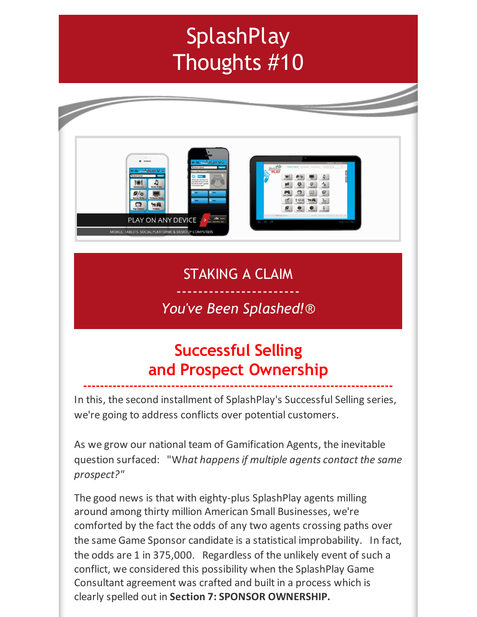# **SplashPlay** Thoughts #10



#### STAKING A CLAIM -----------------------

### *You've Been Splashed!*®

## **Successful Selling and Prospect Ownership**

**--------------------------------------------------------------------------**

In this, the second installment of SplashPlay's Successful Selling series, we're going to address conflicts over potential customers.

As we grow our national team of Gamification Agents, the inevitable question surfaced: "W*hat happensif multiple agents contact the same prospect?"*

The good news is that with eighty-plus SplashPlay agents milling around among thirty million American Small Businesses, we're comforted by the fact the odds of any two agents crossing paths over the same Game Sponsor candidate is a statistical improbability. In fact, the odds are 1 in 375,000. Regardless of the unlikely event of such a conflict, we considered this possibility when the SplashPlay Game Consultant agreement was crafted and built in a process which is clearly spelled out in **Section 7: SPONSOR OWNERSHIP.**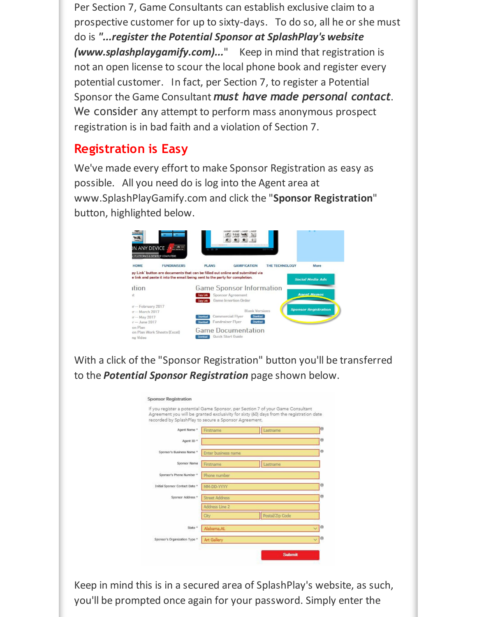Per Section 7, Game Consultants can establish exclusive claim to a prospective customer for up to sixty-days. To do so, all he or she must do is *"...register the Potential Sponsor at SplashPlay's website (www.splashplaygamify.com)...*" Keep in mind that registration is not an open license to scour the local phone book and register every potential customer. In fact, per Section 7, to register a Potential Sponsor the Game Consultant *must have made personal contact*. We consider any attempt to perform mass anonymous prospect registration is in bad faith and a violation of Section 7.

#### **Registration is Easy**

We've made every effort to make Sponsor Registration as easy as possible. All you need do is log into the Agent area at www.SplashPlayGamify.com and click the "**Sponsor Registration**" button, highlighted below.



With a click of the "Sponsor Registration" button you'll be transferred to the *Potential Sponsor Registration* page shown below.

|                                                       |                       | If you register a potential Game Sponsor, per Section 7 of your Game Consultant<br>Agreement you will be granted exclusivity for sixty (60) days from the registration date |  |
|-------------------------------------------------------|-----------------------|-----------------------------------------------------------------------------------------------------------------------------------------------------------------------------|--|
| recorded by SplashPlay to secure a Sponsor Agreement. |                       |                                                                                                                                                                             |  |
| Agent Name *                                          | Firstname             | Lastname                                                                                                                                                                    |  |
| Agent ID *                                            |                       |                                                                                                                                                                             |  |
| Sponsor's Business Name *                             | Enter business name   |                                                                                                                                                                             |  |
| Sponsor Name                                          | Firstname             | Lastname                                                                                                                                                                    |  |
| Sponsor's Phone Number *                              | Phone number          |                                                                                                                                                                             |  |
| Initial Sponsor Contact Date *                        | MM-DD-YYYY            |                                                                                                                                                                             |  |
| Sponsor Address *                                     | <b>Street Address</b> |                                                                                                                                                                             |  |
|                                                       | Address Line 2        |                                                                                                                                                                             |  |
|                                                       | City                  | Postal/Zip Code                                                                                                                                                             |  |
| State *                                               | Alabama, AL           |                                                                                                                                                                             |  |
| Sponsor's Organization Type *                         | <b>Art Gallery</b>    |                                                                                                                                                                             |  |

Keep in mind this is in a secured area of SplashPlay's website, as such, you'll be prompted once again for your password. Simply enter the